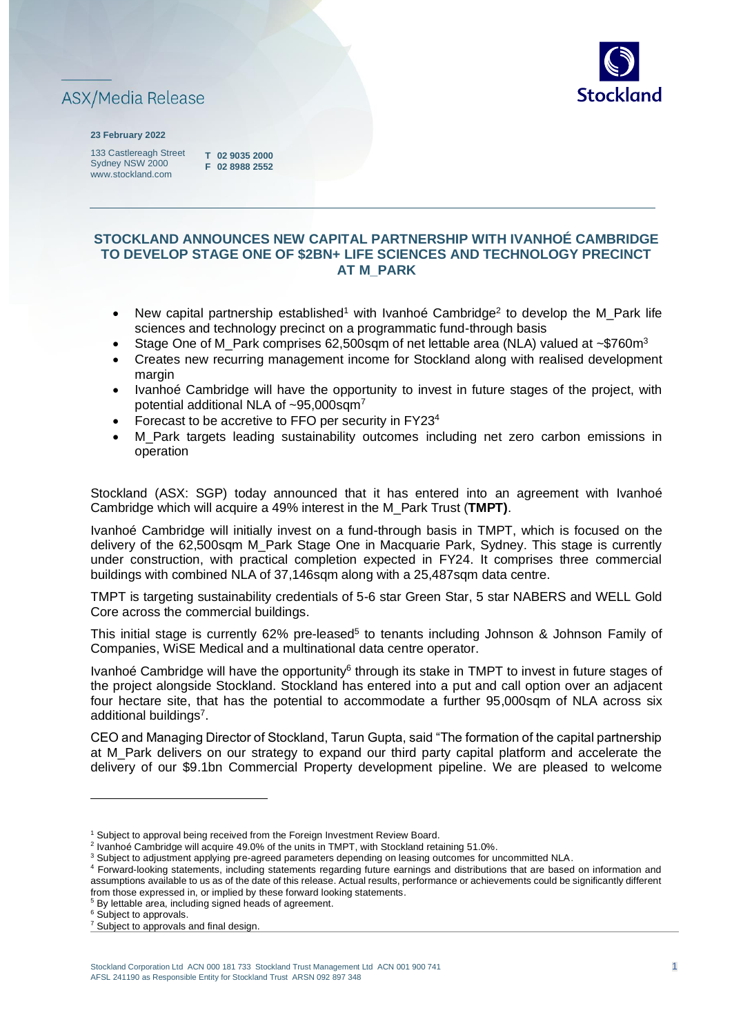



#### **23 February 2022**

133 Castlereagh Street Sydney NSW 2000 www.stockland.com

**T 02 9035 2000 F 02 8988 2552** 

## **STOCKLAND ANNOUNCES NEW CAPITAL PARTNERSHIP WITH IVANHOÉ CAMBRIDGE TO DEVELOP STAGE ONE OF \$2BN+ LIFE SCIENCES AND TECHNOLOGY PRECINCT AT M\_PARK**

- New capital partnership established<sup>1</sup> with Ivanhoé Cambridge<sup>2</sup> to develop the M\_Park life sciences and technology precinct on a programmatic fund-through basis
- Stage One of M\_Park comprises 62,500sqm of net lettable area (NLA) valued at ~\$760m<sup>3</sup>
- Creates new recurring management income for Stockland along with realised development margin
- Ivanhoé Cambridge will have the opportunity to invest in future stages of the project, with potential additional NLA of ~95,000sqm<sup>7</sup>
- Forecast to be accretive to FFO per security in FY23<sup>4</sup>
- M Park targets leading sustainability outcomes including net zero carbon emissions in operation

Stockland (ASX: SGP) today announced that it has entered into an agreement with Ivanhoé Cambridge which will acquire a 49% interest in the M\_Park Trust (**TMPT)**.

Ivanhoé Cambridge will initially invest on a fund-through basis in TMPT, which is focused on the delivery of the 62,500sqm M\_Park Stage One in Macquarie Park, Sydney. This stage is currently under construction, with practical completion expected in FY24. It comprises three commercial buildings with combined NLA of 37,146sqm along with a 25,487sqm data centre.

TMPT is targeting sustainability credentials of 5-6 star Green Star, 5 star NABERS and WELL Gold Core across the commercial buildings.

This initial stage is currently 62% pre-leased<sup>5</sup> to tenants including Johnson & Johnson Family of Companies, WiSE Medical and a multinational data centre operator.

Ivanhoé Cambridge will have the opportunity<sup>6</sup> through its stake in TMPT to invest in future stages of the project alongside Stockland. Stockland has entered into a put and call option over an adjacent four hectare site, that has the potential to accommodate a further 95,000sqm of NLA across six additional buildings<sup>7</sup>.

CEO and Managing Director of Stockland, Tarun Gupta, said "The formation of the capital partnership at M\_Park delivers on our strategy to expand our third party capital platform and accelerate the delivery of our \$9.1bn Commercial Property development pipeline. We are pleased to welcome

<sup>6</sup> Subject to approvals.

<sup>&</sup>lt;sup>1</sup> Subject to approval being received from the Foreign Investment Review Board.

<sup>&</sup>lt;sup>2</sup> Ivanhoé Cambridge will acquire 49.0% of the units in TMPT, with Stockland retaining 51.0%.

<sup>&</sup>lt;sup>3</sup> Subject to adjustment applying pre-agreed parameters depending on leasing outcomes for uncommitted NLA.

<sup>4</sup> Forward-looking statements, including statements regarding future earnings and distributions that are based on information and assumptions available to us as of the date of this release. Actual results, performance or achievements could be significantly different from those expressed in, or implied by these forward looking statements.

<sup>5</sup> By lettable area, including signed heads of agreement.

<sup>&</sup>lt;sup>7</sup> Subject to approvals and final design.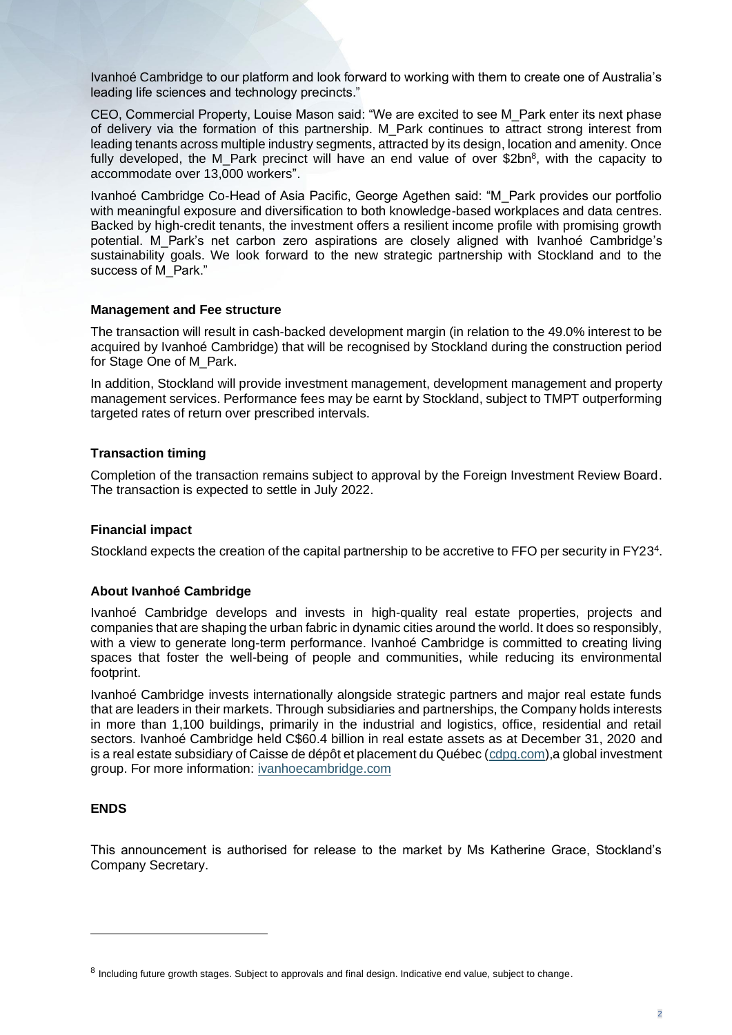Ivanhoé Cambridge to our platform and look forward to working with them to create one of Australia's leading life sciences and technology precincts."

CEO, Commercial Property, Louise Mason said: "We are excited to see M\_Park enter its next phase of delivery via the formation of this partnership. M\_Park continues to attract strong interest from leading tenants across multiple industry segments, attracted by its design, location and amenity. Once fully developed, the M\_Park precinct will have an end value of over \$2bn<sup>8</sup>, with the capacity to accommodate over 13,000 workers".

Ivanhoé Cambridge Co-Head of Asia Pacific, George Agethen said: "M\_Park provides our portfolio with meaningful exposure and diversification to both knowledge-based workplaces and data centres. Backed by high-credit tenants, the investment offers a resilient income profile with promising growth potential. M\_Park's net carbon zero aspirations are closely aligned with Ivanhoé Cambridge's sustainability goals. We look forward to the new strategic partnership with Stockland and to the success of M\_Park."

#### **Management and Fee structure**

The transaction will result in cash-backed development margin (in relation to the 49.0% interest to be acquired by Ivanhoé Cambridge) that will be recognised by Stockland during the construction period for Stage One of M\_Park.

In addition, Stockland will provide investment management, development management and property management services. Performance fees may be earnt by Stockland, subject to TMPT outperforming targeted rates of return over prescribed intervals.

#### **Transaction timing**

Completion of the transaction remains subject to approval by the Foreign Investment Review Board. The transaction is expected to settle in July 2022.

### **Financial impact**

Stockland expects the creation of the capital partnership to be accretive to FFO per security in FY23<sup>4</sup>.

### **About Ivanhoé Cambridge**

Ivanhoé Cambridge develops and invests in high-quality real estate properties, projects and companies that are shaping the urban fabric in dynamic cities around the world. It does so responsibly, with a view to generate long-term performance. Ivanhoé Cambridge is committed to creating living spaces that foster the well-being of people and communities, while reducing its environmental footprint.

Ivanhoé Cambridge invests internationally alongside strategic partners and major real estate funds that are leaders in their markets. Through subsidiaries and partnerships, the Company holds interests in more than 1,100 buildings, primarily in the industrial and logistics, office, residential and retail sectors. Ivanhoé Cambridge held C\$60.4 billion in real estate assets as at December 31, 2020 and is a real estate subsidiary of Caisse de dépôt et placement du Québec [\(cdpq.com\)](https://www.cdpq.com/en),a global investment group. For more information: [ivanhoecambridge.com](https://www.ivanhoecambridge.com/en/)

### **ENDS**

This announcement is authorised for release to the market by Ms Katherine Grace, Stockland's Company Secretary.

<sup>&</sup>lt;sup>8</sup> Including future growth stages. Subject to approvals and final design. Indicative end value, subject to change.